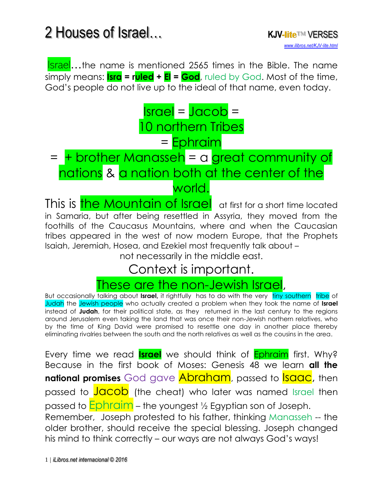*[www.ilibros.net/KJV-lite.html](http://www.ilibros.net/KJV-lite.html)*

**Israel...**the name is mentioned 2565 times in the Bible. The name simply means: **Isra = ruled + El = God**, ruled by God. Most of the time, God's people do not live up to the ideal of that name, even today.

#### $\textsf{Israel} = \textsf{Jacob} =$ 10 northern Tribes = Ephraim

#### = + brother Manasseh = a great community of nations & a nation both at the center of the world.

This is **the Mountain of Israel** at first for a short time located in Samaria, but after being resettled in Assyria, they moved from the foothills of the Caucasus Mountains, where and when the Caucasian tribes appeared in the west of now modern Europe, that the Prophets Isaiah, Jeremiah, Hosea, and Ezekiel most frequently talk about –

not necessarily in the middle east.

#### Context is important.

#### These are the non-Jewish Israel,

But occasionally talking about **Israel**, it rightfully has to do with the very tiny southern tribe of Judah the Jewish people who actually created a problem when they took the name of **Israel** instead of **Judah**, for their political state, as they returned in the last century to the regions around Jerusalem even taking the land that was once their non-Jewish northern relatives, who by the time of King David were promised to resettle one day in another place thereby eliminating rivalries between the south and the north relatives as well as the cousins in the area.

Every time we read **Israel** we should think of Ephraim first. Why? Because in the first book of Moses: Genesis 48 we learn **all the national promises** God gave **Abraham**, passed to **Isaac**, then passed to **Jacob** (the cheat) who later was named Israel then passed to **Ephraim** – the youngest 1/2 Egyptian son of Joseph. Remember, Joseph protested to his father, thinking Manasseh -- the older brother, should receive the special blessing. Joseph changed his mind to think correctly – our ways are not always God's ways!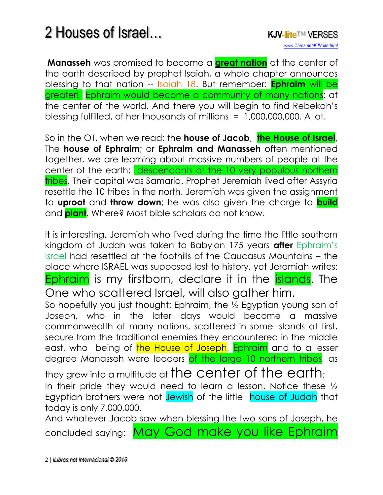**Manasseh** was promised to become a **[great nation](http://www.isa-net.org/pdf/ISAIAH18vs1.pdf)** at the center of the earth described by prophet Isaiah, a whole chapter announces blessing to that nation -- Isaiah 18. But remember: **Ephraim** will be greater! Ephraim would [become a community of many](http://www.isa-net.org/pdf/GENESIS48vs13.pdf) nations; at the center of the world. And there you will begin to find Rebekah's blessing fulfilled, of her thousands of millions = 1,000,000,000. A lot.

So in the OT, when we read: the **house of Jacob**, **the House of Israel**, The **house of Ephraim**; or **Ephraim and Manasseh** often mentioned together, we are learning about massive numbers of people at the center of the earth; descendants of the 10 very populous northern tribes. Their capital was Samaria. Prophet Jeremiah lived after Assyria resettle the 10 tribes in the north. Jeremiah was given the assignment to **uproot** and **throw down**; he was also given the charge to **build** and **plant**. Where? Most bible scholars do not know.

It is interesting, Jeremiah who lived during the time the little southern kingdom of Judah was taken to Babylon 175 years **after** Ephraim's Israel had resettled at the foothills of the Caucasus Mountains – the place where ISRAEL was supposed lost to history, yet Jeremiah writes: Ephraim is my firstborn, declare it in the **islands**. The One who scattered Israel, will also gather him.

So hopefully you just thought: Ephraim, the ½ Egyptian young son of Joseph, who in the later days would become a massive commonwealth of many nations, scattered in some Islands at first, secure from the traditional enemies they encountered in the middle east, who being of the House of Joseph, Ephraim and to a lesser degree Manasseh were leaders of the large 10 northern tribes, as

they grew into a multitude at the center of the earth; In their pride they would need to learn a lesson. Notice these ½ Egyptian brothers were not Jewish of the little house of Judah that today is only 7,000,000.

And whatever Jacob saw when blessing the two sons of Joseph, he concluded saying: May God make you like Ephraim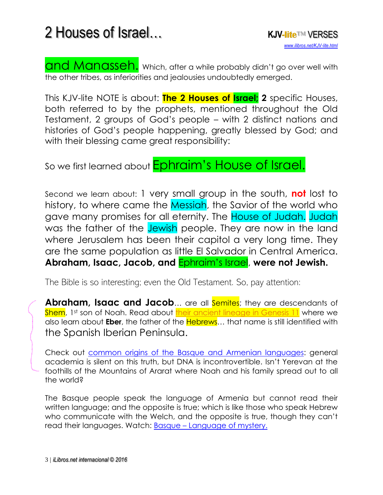and Manasseh. Which, after a while probably didn't go over well with the other tribes, as inferiorities and jealousies undoubtedly emerged.

This KJV-lite NOTE is about: **The 2 Houses of Israel; 2** specific Houses, both referred to by the prophets, mentioned throughout the Old Testament, 2 groups of God's people – with 2 distinct nations and histories of God's people happening, greatly blessed by God; and with their blessing came great responsibility:

So we first learned about **Ephraim's House of Israel.** 

Second we learn about: 1 very small group in the south, **not** lost to history, to where came the Messiah, the Savior of the world who gave many promises for all eternity. The House of Judah. Judah was the father of the Jewish people. They are now in the land where Jerusalem has been their capitol a very long time. They are the same population as little El Salvador in Central America. **Abraham, Isaac, Jacob, and** Ephraim's Israel, **were not Jewish.**

The Bible is so interesting; even the Old Testament. So, pay attention:

**Abraham, Isaac and Jacob...** are all **Semites**; they are descendants of Shem, 1st son of Noah. Read about [their ancient lineage in Genesis 11](http://www.isa-net.org/pdf/GENESIS10vs1.pdf) where we also learn about **Eber**, the father of the Hebrews… that name is still identified with the Spanish Iberian Peninsula.

Check out [common origins of the Basque and Armenian languages:](https://youtu.be/fKXnz9YMa9A) general academia is silent on this truth, but DNA is incontrovertible. Isn't Yerevan at the foothills of the Mountains of Ararat where Noah and his family spread out to all the world?

The Basque people speak the language of Armenia but cannot read their written language; and the opposite is true; which is like those who speak Hebrew who communicate with the Welch, and the opposite is true, though they can't read their languages. Watch: **Basque – [Language of mystery.](https://www.youtube.com/watch?v=S1l9oDiSiEQ#action=share)**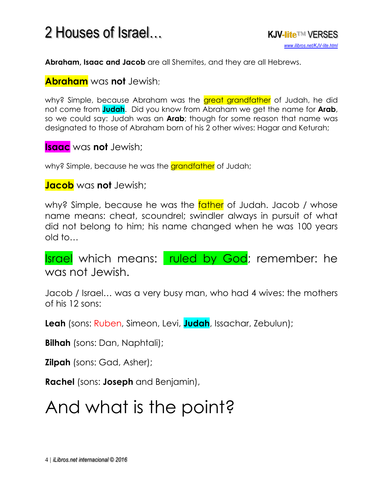**Abraham, Isaac and Jacob** are all Shemites, and they are all Hebrews.

#### **Abraham** was **not** Jewish;

why? Simple, because Abraham was the areat grandfather of Judah, he did not come from **Judah**. Did you know from Abraham we get the name for **Arab**, so we could say: Judah was an **Arab**; though for some reason that name was designated to those of Abraham born of his 2 other wives: Hagar and Keturah;

#### **Isaac** was **not** Jewish;

why? Simple, because he was the grandfather of Judah;

#### **Jacob** was **not** Jewish;

why? Simple, because he was the father of Judah. Jacob / whose name means: cheat, scoundrel; swindler always in pursuit of what did not belong to him; his name changed when he was 100 years old to…

Israel which means: ruled by God; remember: he was not Jewish.

Jacob / Israel… was a very busy man, who had 4 wives: the mothers of his 12 sons:

**Leah** (sons: Ruben, Simeon, Levi, **Judah**, Issachar, Zebulun);

**Bilhah** (sons: Dan, Naphtali);

**Zilpah** (sons: Gad, Asher);

**Rachel** (sons: **Joseph** and Benjamin),

## And what is the point?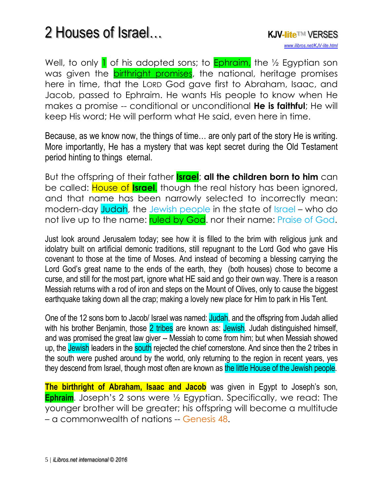Well, to only  $\bf{l}$  of his adopted sons; to **Ephraim**, the  $\frac{1}{2}$  Egyptian son was given the **birthright promises**, the national, heritage promises here in time, that the LORD God gave first to Abraham, Isaac, and Jacob, passed to Ephraim. He wants His people to know when He makes a promise -- conditional or unconditional **He is faithful**; He will keep His word; He will perform what He said, even here in time.

Because, as we know now, the things of time… are only part of the story He is writing. More importantly, He has a mystery that was kept secret during the Old Testament period hinting to things eternal.

But the offspring of their father **Israel**; **all the children born to him** can be called: House of **Israel**. though the real history has been ignored, and that name has been narrowly selected to incorrectly mean: modern-day Judah, the Jewish people in the state of Israel – who do not live up to the name: ruled by God. nor their name: Praise of God.

Just look around Jerusalem today; see how it is filled to the brim with religious junk and idolatry built on artificial demonic traditions, still repugnant to the Lord God who gave His covenant to those at the time of Moses. And instead of becoming a blessing carrying the Lord God's great name to the ends of the earth, they (both houses) chose to become a curse, and still for the most part, ignore what HE said and go their own way. There is a reason Messiah returns with a rod of iron and steps on the Mount of Olives, only to cause the biggest earthquake taking down all the crap; making a lovely new place for Him to park in His Tent.

One of the 12 sons born to Jacob/ Israel was named: Judah, and the offspring from Judah allied with his brother Benjamin, those 2 tribes are known as: Jewish. Judah distinguished himself, and was promised the great law giver -- Messiah to come from him; but when Messiah showed up, the Jewish leaders in the south rejected the chief cornerstone. And since then the 2 tribes in the south were pushed around by the world, only returning to the region in recent years, yes they descend from Israel, though most often are known as the little House of the Jewish people.

**The birthright of Abraham, Isaac and Jacob** was given in Egypt to Joseph's son, **Ephraim**. Joseph's 2 sons were 1/2 Egyptian. Specifically, we read: The younger brother will be greater; his offspring will become a multitude – a commonwealth of nations – Genesis 48.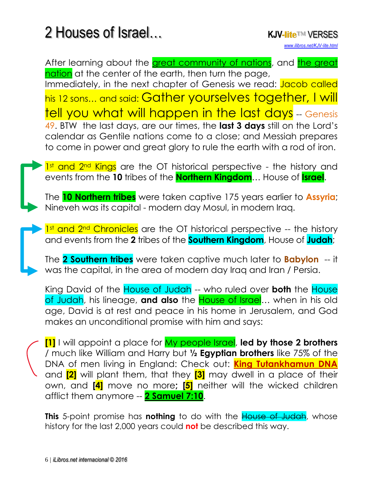After learning about the [great community of nations,](http://www.isa-net.org/pdf/GENESIS48vs13.pdf) and the great [nation](http://www.isa-net.org/pdf/ISAIAH18vs1.pdf) at the center of the earth, then turn the page,

Immediately, in the next chapter of Genesis we read: Jacob called his 12 sons... and said: Gather yourselves together, I will tell you what will happen in the last days -- Genesis 49. BTW the last days, are our times, the **last 3 days** still on the Lord's calendar as Gentile nations come to a close; and Messiah prepares to come in power and great glory to rule the earth with a rod of iron.

1st and 2<sup>nd</sup> Kings are the OT historical perspective - the history and events from the **10** tribes of the **Northern Kingdom**… House of **Israel**.

The **10 Northern tribes** were taken captive 175 years earlier to **Assyria**; Nineveh was its capital - modern day Mosul, in modern Iraq.

1<sup>st</sup> and 2<sup>nd</sup> Chronicles are the OT historical perspective -- the history and events from the **2** tribes of the **Southern Kingdom**, House of **Judah**;

The **2 Southern tribes** were taken captive much later to **Babylon** -- it was the capital, in the area of modern day Iraq and Iran / Persia.

King David of the House of Judah -- who ruled over **both** the House of Judah, his lineage, **and also** the House of Israel… when in his old age, David is at rest and peace in his home in Jerusalem, and God makes an unconditional promise with him and says:

**[1]** I will appoint a place for My people Israel, **led by those 2 brothers** / much like William and Harry but **½ Egyptian brothers** like 75% of the DNA of men living in England: Check out: **[King Tutankhamun DNA](https://youtu.be/5Vg2BMkEjR0)** and **[2]** will plant them, that they **[3]** may dwell in a place of their own, and **[4]** move no more**; [5]** neither will the wicked children afflict them anymore -- **[2 Samuel 7:10](http://www.isa-net.org/pdf/2SAMUEL7vs1.pdf)**.

**This** 5-point promise has **nothing** to do with the House of Judah, whose history for the last 2,000 years could **not** be described this way.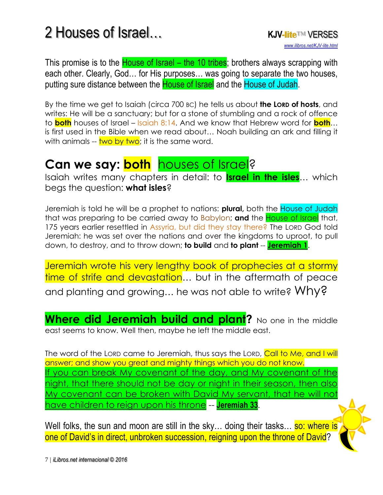This promise is to the **House of Israel – the 10 tribes**; brothers always scrapping with each other. Clearly, God… for His purposes… was going to separate the two houses, putting sure distance between the **House of Israel** and the House of Judah.

By the time we get to Isaiah (circa 700 BC) he tells us about **the LORD of hosts**, and writes: He will be a sanctuary; but for a stone of stumbling and a rock of offence to **both** houses of Israel – Isaiah 8:14. And we know that Hebrew word for **both**… is first used in the Bible when we read about… Noah building an ark and filling it with animals  $-$  two by two; it is the same word.

#### **Can we say: both** houses of Israel?

Isaiah writes many chapters in detail: to **Israel in the isles**… which begs the question: **what isles**?

Jeremiah is told he will be a prophet to nations: **plural,** both the House of Judah that was preparing to be carried away to Babylon; **and** the House of Israel that, 175 years earlier resettled in Assyria, but did they stay there? The LORD God told Jeremiah: he was set over the nations and over the kingdoms to uproot, to pull down, to destroy, and to throw down; **to build** and **to plant** -- **[Jeremiah 1](http://www.isa-net.org/pdf/JEREMIAH1vs1.pdf)**.

Jeremiah wrote his very lengthy book of prophecies at a stormy time of strife and devastation... but in the aftermath of peace and planting and growing... he was not able to write? Why?

**Where did Jeremiah build and plant?** No one in the middle east seems to know. Well then, maybe he left the middle east.

The word of the LORD came to Jeremiah, thus says the LORD, Call to Me, and I will answer; and show you great and mighty things which you do not know. If you can break My covenant of the day, and My covenant of the [night, that there should not be day or night in their season, then also](http://www.isa-net.org/pdf/JEREMIAH33vs1.pdf)  [My covenant can be broken with David My servant, that he will](http://www.isa-net.org/pdf/JEREMIAH33vs1.pdf) not [have children to reign upon his throne](http://www.isa-net.org/pdf/JEREMIAH33vs1.pdf) -- **[Jeremiah 33](http://www.isa-net.org/pdf/JEREMIAH33vs1.pdf)**.

Well folks, the sun and moon are still in the sky... doing their tasks... **so: where is** one of David's in direct, unbroken succession, reigning upon the throne of David?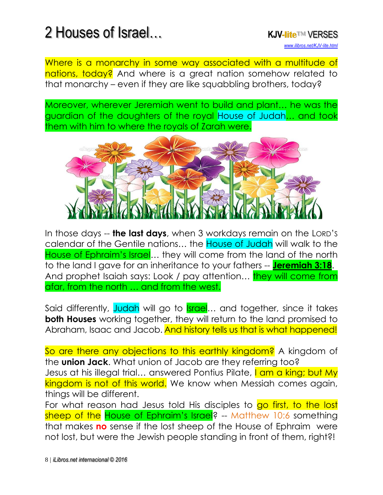Where is a monarchy in some way associated with a multitude of nations, today? And where is a great nation somehow related to that monarchy – even if they are like squabbling brothers, today?

Moreover, wherever Jeremiah went to build and plant… he was the guardian of the daughters of the royal House of Judah… and took them with him to where the royals of Zarah were.



In those days -- **the last days**, when 3 workdays remain on the LORD'S calendar of the Gentile nations… the House of Judah will walk to the House of Ephraim's Israel... they will come from the land of the north to the land I gave for an inheritance to your fathers -- **[Jeremiah 3:18](http://www.isa-net.org/pdf/JEREMIAH3vs1.pdf)**. And prophet Isaiah says: Look / pay attention... **they will come from** afar, from the north … and from the west.

Said differently, Judah will go to **Israel...** and together, since it takes **both Houses** working together, they will return to the land promised to Abraham, Isaac and Jacob. And history tells us that is what happened!

So are there any objections to this earthly kingdom? A kingdom of the **union Jack**. What union of Jacob are they referring too? Jesus at his illegal trial... answered Pontius Pilate, I am a king; but My kingdom is not of this world. We know when Messiah comes again, things will be different.

For what reason had Jesus told His disciples to go first, to the lost sheep of the House of Ephraim's Israel? -- Matthew 10:6 something that makes **no** sense if the lost sheep of the House of Ephraim were not lost, but were the Jewish people standing in front of them, right?!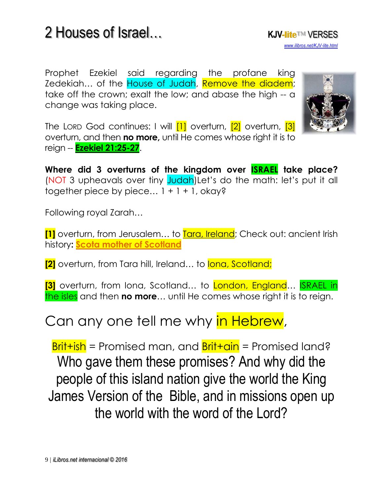Prophet Ezekiel said regarding the profane king Zedekiah... of the House of Judah, Remove the diadem; take off the crown; exalt the low; and abase the high -- a change was taking place.



*[www.ilibros.net/KJV-lite.html](http://www.ilibros.net/KJV-lite.html)*

The LORD God continues: I will **[1]** overturn, **[2]** overturn, **[3]** overturn, and then **no more,** until He comes whose right it is to reign -- **[Ezekiel 21:25-27](http://www.isa-net.org/pdf/EZEKIEL21vs18.pdf)**.

**Where did 3 overturns of the kingdom over ISRAEL take place?** (NOT 3 upheavals over tiny Judah)Let's do the math: let's put it all together piece by piece...  $1 + 1 + 1$ , okay?

Following royal Zarah…

**[1]** overturn, from Jerusalem... to Tara, Ireland; Check out: ancient Irish history**: [Scota mother of Scotland](https://www.youtube.com/watch?time_continue=8&v=ubGgkc72A0E)**

**[2]** overturn, from Tara hill, Ireland... to lona, Scotland;

**[3]** overturn, from Iona, Scotland... to London, England... **ISRAEL in** the isles and then **no more**… until He comes whose right it is to reign.

#### Can any one tell me why in Hebrew,

 $Brit+ish$  = Promised man, and  $Brit+ain$  = Promised land? Who gave them these promises? And why did the people of this island nation give the world the King James Version of the Bible, and in missions open up the world with the word of the Lord?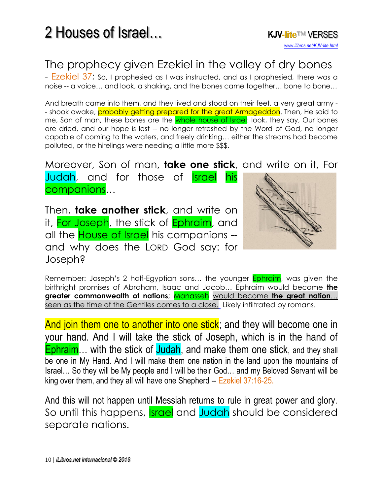#### The prophecy given Ezekiel in the valley of dry bones -

- Ezekiel 37; So, I prophesied as I was instructed, and as I prophesied, there was a noise -- a voice… and look, a shaking, and the bones came together… bone to bone…

And breath came into them, and they lived and stood on their feet, a very great army - - shook awake, probably getting prepared for the great Armageddon. Then, He said to me, Son of man, these bones are the whole house of Israel: look, they say, Our bones are dried, and our hope is lost -- no longer refreshed by the Word of God, no longer capable of coming to the waters, and freely drinking… either the streams had become polluted, or the hirelings were needing a little more \$\$\$.

Moreover, Son of man, **take one stick**, and write on it, For

Judah, and for those of **Israel his** companions…

Then, **take another stick**, and write on it, For Joseph, the stick of Ephraim, and all the **House of Israel** his companions -and why does the LORD God say: for Joseph?



Remember: Joseph's 2 half-Egyptian sons... the younger **Ephraim**, was given the birthright promises of Abraham, Isaac and Jacob… Ephraim would become **the greater commonwealth of nations**; Manasseh would become **[the great nation](http://www.isa-net.org/pdf/ISAIAH18vs1.pdf)**… [seen as the time of the Gentiles comes to a close.](http://www.isa-net.org/pdf/ISAIAH18vs1.pdf) Likely infiltrated by romans.

And join them one to another into one stick; and they will become one in your hand. And I will take the stick of Joseph, which is in the hand of Ephraim... with the stick of Judah, and make them one stick, and they shall be one in My Hand. And I will make them one nation in the land upon the mountains of Israel… So they will be My people and I will be their God… and my Beloved Servant will be king over them, and they all will have one Shepherd -- Ezekiel 37:16-25.

And this will not happen until Messiah returns to rule in great power and glory. So until this happens, **Israel** and Judah should be considered separate nations.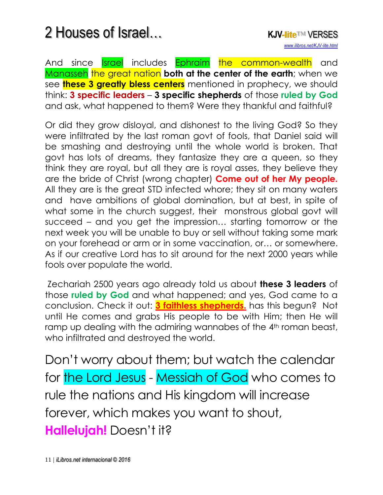And since **Israel** includes Ephraim the common-wealth and **Manasseh** the great nation both at the center of the earth; when we see **these 3 greatly bless centers** mentioned in prophecy, we should think: **3 specific leaders** – **3 specific shepherds** of those **ruled by God** and ask, what happened to them? Were they thankful and faithful?

Or did they grow disloyal, and dishonest to the living God? So they were infiltrated by the last roman govt of fools, that Daniel said will be smashing and destroying until the whole world is broken. That govt has lots of dreams, they fantasize they are a queen, so they think they are royal, but all they are is royal asses, they believe they are the bride of Christ (wrong chapter) **Come out of her My people.** All they are is the great STD infected whore; they sit on many waters and have ambitions of global domination, but at best, in spite of what some in the church suggest, their monstrous global govt will succeed – and you get the impression… starting tomorrow or the next week you will be unable to buy or sell without taking some mark on your forehead or arm or in some vaccination, or… or somewhere. As if our creative Lord has to sit around for the next 2000 years while fools over populate the world.

Zechariah 2500 years ago already told us about **these 3 leaders** of those **ruled by God** and what happened; and yes, God came to a conclusion. Check it out: **[3 faithless shepherds.](http://www.isa-net.org/pdf/ZECHARIAH11vs1.pdf)** has this begun? Not until He comes and grabs His people to be with Him; then He will ramp up dealing with the admiring wannabes of the 4<sup>th</sup> roman beast, who infiltrated and destroyed the world.

Don't worry about them; but watch the calendar for the Lord Jesus - Messiah of God who comes to rule the nations and His kingdom will increase forever, which makes you want to shout, **Hallelujah!** Doesn't it?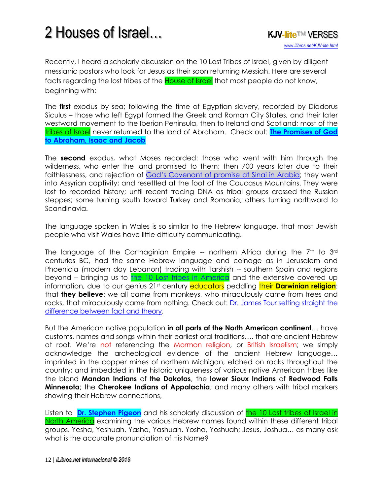

Recently, I heard a scholarly discussion on the 10 Lost Tribes of Israel, given by diligent messianic pastors who look for Jesus as their soon returning Messiah. Here are several facts regarding the lost tribes of the **House of Israel** that most people do not know, beginning with:

The **first** exodus by sea; following the time of Egyptian slavery, recorded by Diodorus Siculus – those who left Egypt formed the Greek and Roman City States, and their later westward movement to the Iberian Peninsula, then to Ireland and Scotland; most of the tribes of Israel never returned to the land of Abraham. Check out: **[The Promises of God](http://www.ilibros.net/Promises.html)  [to Abraham, Isaac and Jacob](http://www.ilibros.net/Promises.html)**

The **second** exodus, what Moses recorded: those who went with him through the wilderness, who enter the land promised to them; then 700 years later due to their faithlessness, and rejection of [God's Covenant of promise](https://youtu.be/YjrxHqNy5CQ) at Sinai in Arabia; they went into Assyrian captivity; and resettled at the foot of the Caucasus Mountains. They were lost to recorded history; until recent tracing DNA as tribal groups crossed the Russian steppes; some turning south toward Turkey and Romania; others turning northward to Scandinavia.

The language spoken in Wales is so similar to the Hebrew language, that most Jewish people who visit Wales have little difficulty communicating.

The language of the Carthaginian Empire -- northern Africa during the  $7<sup>th</sup>$  to  $3<sup>rd</sup>$ centuries BC, had the same Hebrew language and coinage as in Jerusalem and Phoenicia (modern day Lebanon) trading with Tarshish -- southern Spain and regions beyond – bringing us to [the 10 Lost tribes in America](https://youtu.be/LOfvt_GiIb0) and the extensive covered up information, due to our genius 21st century **educators** peddling their **Darwinian religion**: that **they believe**: we all came from monkeys, who miraculously came from trees and rocks, that miraculously came from nothing. Check out: [Dr. James Tour setting straight the](https://youtu.be/il3z5SuqWgU)  [difference between fact and theory.](https://youtu.be/il3z5SuqWgU)

But the American native population **in all parts of the North American continent**… have customs, names and songs within their earliest oral traditions…. that are ancient Hebrew at root. We're not referencing the Mormon religion, or British Israelism; we simply acknowledge the archeological evidence of the ancient Hebrew language… imprinted in the copper mines of northern Michigan, etched on rocks throughout the country; and imbedded in the historic uniqueness of various native American tribes like the blond **Mandan Indians** of **the Dakotas**, the **lower Sioux Indians** of **Redwood Falls Minnesota**; the **Cherokee Indians of Appalachia**; and many others with tribal markers showing their Hebrew connections,

Listen to **[Dr. Stephen Pigeon](http://www.cepher.net/blog.aspx)** and his scholarly discussion of **the 10 Lost tribes of Israel in** [North America](https://youtu.be/LOfvt_GiIb0) examining the various Hebrew names found within these different tribal groups. Yesha, Yeshuah, Yasha, Yashuah, Yosha, Yoshuah; Jesus, Joshua… as many ask what is the accurate pronunciation of His Name?